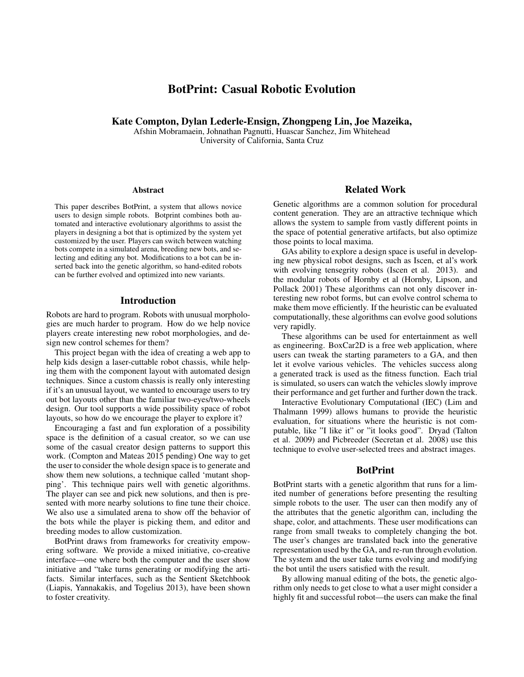# BotPrint: Casual Robotic Evolution

Kate Compton, Dylan Lederle-Ensign, Zhongpeng Lin, Joe Mazeika,

Afshin Mobramaein, Johnathan Pagnutti, Huascar Sanchez, Jim Whitehead University of California, Santa Cruz

#### Abstract

This paper describes BotPrint, a system that allows novice users to design simple robots. Botprint combines both automated and interactive evolutionary algorithms to assist the players in designing a bot that is optimized by the system yet customized by the user. Players can switch between watching bots compete in a simulated arena, breeding new bots, and selecting and editing any bot. Modifications to a bot can be inserted back into the genetic algorithm, so hand-edited robots can be further evolved and optimized into new variants.

## Introduction

Robots are hard to program. Robots with unusual morphologies are much harder to program. How do we help novice players create interesting new robot morphologies, and design new control schemes for them?

This project began with the idea of creating a web app to help kids design a laser-cuttable robot chassis, while helping them with the component layout with automated design techniques. Since a custom chassis is really only interesting if it's an unusual layout, we wanted to encourage users to try out bot layouts other than the familiar two-eyes/two-wheels design. Our tool supports a wide possibility space of robot layouts, so how do we encourage the player to explore it?

Encouraging a fast and fun exploration of a possibility space is the definition of a casual creator, so we can use some of the casual creator design patterns to support this work. (Compton and Mateas 2015 pending) One way to get the user to consider the whole design space is to generate and show them new solutions, a technique called 'mutant shopping'. This technique pairs well with genetic algorithms. The player can see and pick new solutions, and then is presented with more nearby solutions to fine tune their choice. We also use a simulated arena to show off the behavior of the bots while the player is picking them, and editor and breeding modes to allow customization.

BotPrint draws from frameworks for creativity empowering software. We provide a mixed initiative, co-creative interface—one where both the computer and the user show initiative and "take turns generating or modifying the artifacts. Similar interfaces, such as the Sentient Sketchbook (Liapis, Yannakakis, and Togelius 2013), have been shown to foster creativity.

### Related Work

Genetic algorithms are a common solution for procedural content generation. They are an attractive technique which allows the system to sample from vastly different points in the space of potential generative artifacts, but also optimize those points to local maxima.

GAs ability to explore a design space is useful in developing new physical robot designs, such as Iscen, et al's work with evolving tensegrity robots (Iscen et al. 2013). and the modular robots of Hornby et al (Hornby, Lipson, and Pollack 2001) These algorithms can not only discover interesting new robot forms, but can evolve control schema to make them move efficiently. If the heuristic can be evaluated computationally, these algorithms can evolve good solutions very rapidly.

These algorithms can be used for entertainment as well as engineering. BoxCar2D is a free web application, where users can tweak the starting parameters to a GA, and then let it evolve various vehicles. The vehicles success along a generated track is used as the fitness function. Each trial is simulated, so users can watch the vehicles slowly improve their performance and get further and further down the track.

Interactive Evolutionary Computational (IEC) (Lim and Thalmann 1999) allows humans to provide the heuristic evaluation, for situations where the heuristic is not computable, like "I like it" or "it looks good". Dryad (Talton et al. 2009) and Picbreeder (Secretan et al. 2008) use this technique to evolve user-selected trees and abstract images.

## BotPrint

BotPrint starts with a genetic algorithm that runs for a limited number of generations before presenting the resulting simple robots to the user. The user can then modify any of the attributes that the genetic algorithm can, including the shape, color, and attachments. These user modifications can range from small tweaks to completely changing the bot. The user's changes are translated back into the generative representation used by the GA, and re-run through evolution. The system and the user take turns evolving and modifying the bot until the users satisfied with the result.

By allowing manual editing of the bots, the genetic algorithm only needs to get close to what a user might consider a highly fit and successful robot—the users can make the final